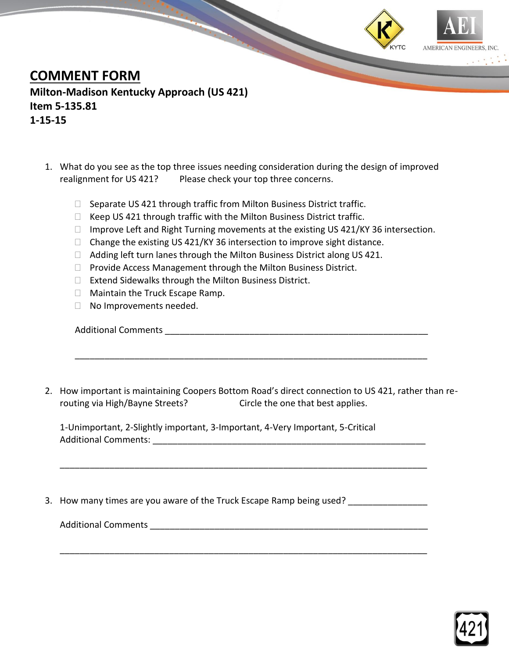AMERICAN ENGINEERS, INC.

## **COMMENT FORM**

**Milton-Madison Kentucky Approach (US 421) Item 5-135.81 1-15-15**

- 1. What do you see as the top three issues needing consideration during the design of improved realignment for US 421? Please check your top three concerns.
	- $\Box$  Separate US 421 through traffic from Milton Business District traffic.
	- $\Box$  Keep US 421 through traffic with the Milton Business District traffic.
	- $\Box$  Improve Left and Right Turning movements at the existing US 421/KY 36 intersection.
	- $\Box$  Change the existing US 421/KY 36 intersection to improve sight distance.
	- $\Box$  Adding left turn lanes through the Milton Business District along US 421.
	- $\Box$  Provide Access Management through the Milton Business District.
	- □ Extend Sidewalks through the Milton Business District.
	- □ Maintain the Truck Escape Ramp.
	- □ No Improvements needed.

| <b>Additional Comments</b> |
|----------------------------|
|                            |

2. How important is maintaining Coopers Bottom Road's direct connection to US 421, rather than rerouting via High/Bayne Streets? Circle the one that best applies.

\_\_\_\_\_\_\_\_\_\_\_\_\_\_\_\_\_\_\_\_\_\_\_\_\_\_\_\_\_\_\_\_\_\_\_\_\_\_\_\_\_\_\_\_\_\_\_\_\_\_\_\_\_\_\_\_\_\_\_\_\_\_\_\_\_\_\_\_\_\_\_\_\_\_

\_\_\_\_\_\_\_\_\_\_\_\_\_\_\_\_\_\_\_\_\_\_\_\_\_\_\_\_\_\_\_\_\_\_\_\_\_\_\_\_\_\_\_\_\_\_\_\_\_\_\_\_\_\_\_\_\_\_\_\_\_\_\_\_\_\_\_\_\_\_\_\_\_\_

\_\_\_\_\_\_\_\_\_\_\_\_\_\_\_\_\_\_\_\_\_\_\_\_\_\_\_\_\_\_\_\_\_\_\_\_\_\_\_\_\_\_\_\_\_\_\_\_\_\_\_\_\_\_\_\_\_\_\_\_\_\_\_\_\_\_\_\_\_\_\_

1-Unimportant, 2-Slightly important, 3-Important, 4-Very Important, 5-Critical Additional Comments: \_\_\_\_\_\_\_\_\_\_\_\_\_\_\_\_\_\_\_\_\_\_\_\_\_\_\_\_\_\_\_\_\_\_\_\_\_\_\_\_\_\_\_\_\_\_\_\_\_\_\_\_\_\_\_

3. How many times are you aware of the Truck Escape Ramp being used?

Additional Comments \_\_\_\_\_\_\_\_\_\_\_\_\_\_\_\_\_\_\_\_\_\_\_\_\_\_\_\_\_\_\_\_\_\_\_\_\_\_\_\_\_\_\_\_\_\_\_\_\_\_\_\_\_\_\_\_